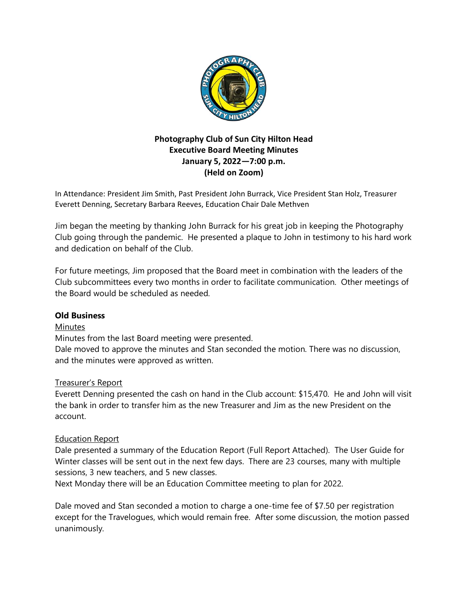

# **Photography Club of Sun City Hilton Head Executive Board Meeting Minutes January 5, 2022—7:00 p.m. (Held on Zoom)**

In Attendance: President Jim Smith, Past President John Burrack, Vice President Stan Holz, Treasurer Everett Denning, Secretary Barbara Reeves, Education Chair Dale Methven

Jim began the meeting by thanking John Burrack for his great job in keeping the Photography Club going through the pandemic. He presented a plaque to John in testimony to his hard work and dedication on behalf of the Club.

For future meetings, Jim proposed that the Board meet in combination with the leaders of the Club subcommittees every two months in order to facilitate communication. Other meetings of the Board would be scheduled as needed.

## **Old Business**

## **Minutes**

Minutes from the last Board meeting were presented.

Dale moved to approve the minutes and Stan seconded the motion. There was no discussion, and the minutes were approved as written.

## Treasurer's Report

Everett Denning presented the cash on hand in the Club account: \$15,470. He and John will visit the bank in order to transfer him as the new Treasurer and Jim as the new President on the account.

## Education Report

Dale presented a summary of the Education Report (Full Report Attached). The User Guide for Winter classes will be sent out in the next few days. There are 23 courses, many with multiple sessions, 3 new teachers, and 5 new classes.

Next Monday there will be an Education Committee meeting to plan for 2022.

Dale moved and Stan seconded a motion to charge a one-time fee of \$7.50 per registration except for the Travelogues, which would remain free. After some discussion, the motion passed unanimously.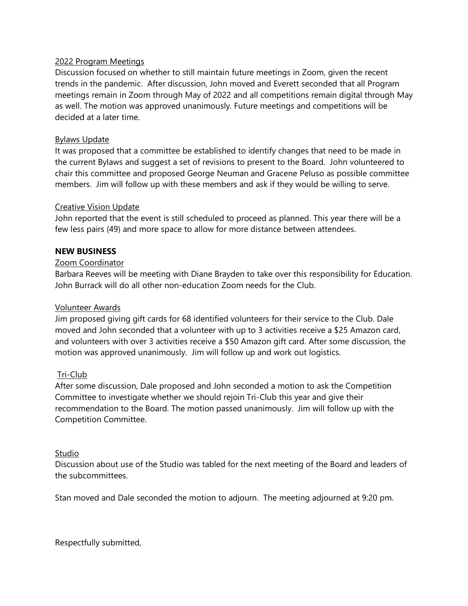#### 2022 Program Meetings

Discussion focused on whether to still maintain future meetings in Zoom, given the recent trends in the pandemic. After discussion, John moved and Everett seconded that all Program meetings remain in Zoom through May of 2022 and all competitions remain digital through May as well. The motion was approved unanimously. Future meetings and competitions will be decided at a later time.

#### Bylaws Update

It was proposed that a committee be established to identify changes that need to be made in the current Bylaws and suggest a set of revisions to present to the Board. John volunteered to chair this committee and proposed George Neuman and Gracene Peluso as possible committee members. Jim will follow up with these members and ask if they would be willing to serve.

#### Creative Vision Update

John reported that the event is still scheduled to proceed as planned. This year there will be a few less pairs (49) and more space to allow for more distance between attendees.

#### **NEW BUSINESS**

#### Zoom Coordinator

Barbara Reeves will be meeting with Diane Brayden to take over this responsibility for Education. John Burrack will do all other non-education Zoom needs for the Club.

#### Volunteer Awards

Jim proposed giving gift cards for 68 identified volunteers for their service to the Club. Dale moved and John seconded that a volunteer with up to 3 activities receive a \$25 Amazon card, and volunteers with over 3 activities receive a \$50 Amazon gift card. After some discussion, the motion was approved unanimously. Jim will follow up and work out logistics.

#### Tri-Club

After some discussion, Dale proposed and John seconded a motion to ask the Competition Committee to investigate whether we should rejoin Tri-Club this year and give their recommendation to the Board. The motion passed unanimously. Jim will follow up with the Competition Committee.

#### Studio

Discussion about use of the Studio was tabled for the next meeting of the Board and leaders of the subcommittees.

Stan moved and Dale seconded the motion to adjourn. The meeting adjourned at 9:20 pm.

Respectfully submitted,